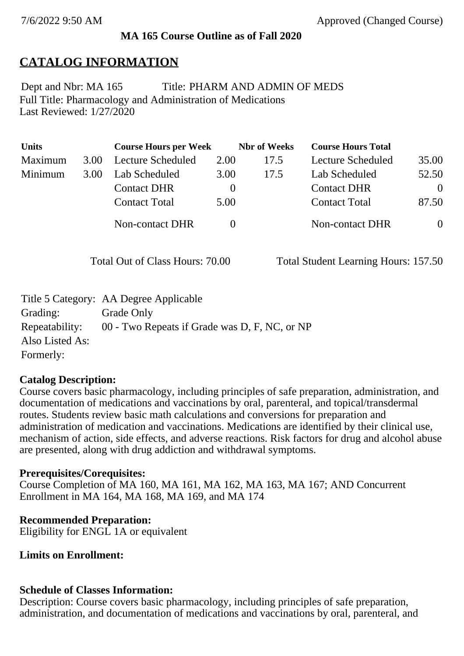## **MA 165 Course Outline as of Fall 2020**

# **CATALOG INFORMATION**

Full Title: Pharmacology and Administration of Medications Last Reviewed: 1/27/2020 Dept and Nbr: MA 165 Title: PHARM AND ADMIN OF MEDS

| <b>Units</b> |      | <b>Course Hours per Week</b> |          | <b>Nbr</b> of Weeks | <b>Course Hours Total</b> |          |
|--------------|------|------------------------------|----------|---------------------|---------------------------|----------|
| Maximum      | 3.00 | Lecture Scheduled            | 2.00     | 17.5                | Lecture Scheduled         | 35.00    |
| Minimum      | 3.00 | Lab Scheduled                | 3.00     | 17.5                | Lab Scheduled             | 52.50    |
|              |      | <b>Contact DHR</b>           | $\theta$ |                     | <b>Contact DHR</b>        | $\Omega$ |
|              |      | <b>Contact Total</b>         | 5.00     |                     | <b>Contact Total</b>      | 87.50    |
|              |      | Non-contact DHR              |          |                     | <b>Non-contact DHR</b>    | $\Omega$ |

Total Out of Class Hours: 70.00 Total Student Learning Hours: 157.50

|                 | Title 5 Category: AA Degree Applicable        |
|-----------------|-----------------------------------------------|
| Grading:        | Grade Only                                    |
| Repeatability:  | 00 - Two Repeats if Grade was D, F, NC, or NP |
| Also Listed As: |                                               |
| Formerly:       |                                               |

## **Catalog Description:**

Course covers basic pharmacology, including principles of safe preparation, administration, and documentation of medications and vaccinations by oral, parenteral, and topical/transdermal routes. Students review basic math calculations and conversions for preparation and administration of medication and vaccinations. Medications are identified by their clinical use, mechanism of action, side effects, and adverse reactions. Risk factors for drug and alcohol abuse are presented, along with drug addiction and withdrawal symptoms.

#### **Prerequisites/Corequisites:**

Course Completion of MA 160, MA 161, MA 162, MA 163, MA 167; AND Concurrent Enrollment in MA 164, MA 168, MA 169, and MA 174

## **Recommended Preparation:**

Eligibility for ENGL 1A or equivalent

## **Limits on Enrollment:**

## **Schedule of Classes Information:**

Description: Course covers basic pharmacology, including principles of safe preparation, administration, and documentation of medications and vaccinations by oral, parenteral, and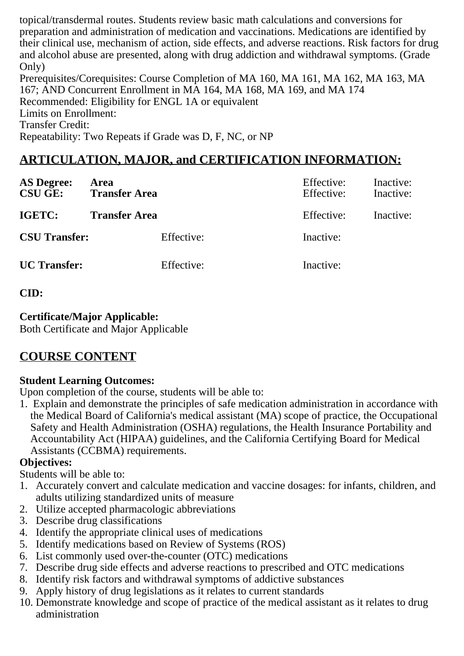topical/transdermal routes. Students review basic math calculations and conversions for preparation and administration of medication and vaccinations. Medications are identified by their clinical use, mechanism of action, side effects, and adverse reactions. Risk factors for drug and alcohol abuse are presented, along with drug addiction and withdrawal symptoms. (Grade Only)

Prerequisites/Corequisites: Course Completion of MA 160, MA 161, MA 162, MA 163, MA 167; AND Concurrent Enrollment in MA 164, MA 168, MA 169, and MA 174 Recommended: Eligibility for ENGL 1A or equivalent Limits on Enrollment: Transfer Credit: Repeatability: Two Repeats if Grade was D, F, NC, or NP

# **ARTICULATION, MAJOR, and CERTIFICATION INFORMATION:**

| <b>AS Degree:</b><br><b>CSU GE:</b> | Area<br><b>Transfer Area</b> | Effective:<br>Effective: | Inactive:<br>Inactive: |
|-------------------------------------|------------------------------|--------------------------|------------------------|
| IGETC:                              | <b>Transfer Area</b>         | Effective:               | Inactive:              |
| <b>CSU Transfer:</b>                | Effective:                   | Inactive:                |                        |
| <b>UC</b> Transfer:                 | Effective:                   | Inactive:                |                        |

**CID:**

#### **Certificate/Major Applicable:**

[Both Certificate and Major Applicable](SR_ClassCheck.aspx?CourseKey=MA165)

## **COURSE CONTENT**

## **Student Learning Outcomes:**

Upon completion of the course, students will be able to:

1. Explain and demonstrate the principles of safe medication administration in accordance with the Medical Board of California's medical assistant (MA) scope of practice, the Occupational Safety and Health Administration (OSHA) regulations, the Health Insurance Portability and Accountability Act (HIPAA) guidelines, and the California Certifying Board for Medical Assistants (CCBMA) requirements.

## **Objectives:**

Students will be able to:

- 1. Accurately convert and calculate medication and vaccine dosages: for infants, children, and adults utilizing standardized units of measure
- 2. Utilize accepted pharmacologic abbreviations
- 3. Describe drug classifications
- 4. Identify the appropriate clinical uses of medications
- 5. Identify medications based on Review of Systems (ROS)
- 6. List commonly used over-the-counter (OTC) medications
- 7. Describe drug side effects and adverse reactions to prescribed and OTC medications
- 8. Identify risk factors and withdrawal symptoms of addictive substances
- 9. Apply history of drug legislations as it relates to current standards
- 10. Demonstrate knowledge and scope of practice of the medical assistant as it relates to drug administration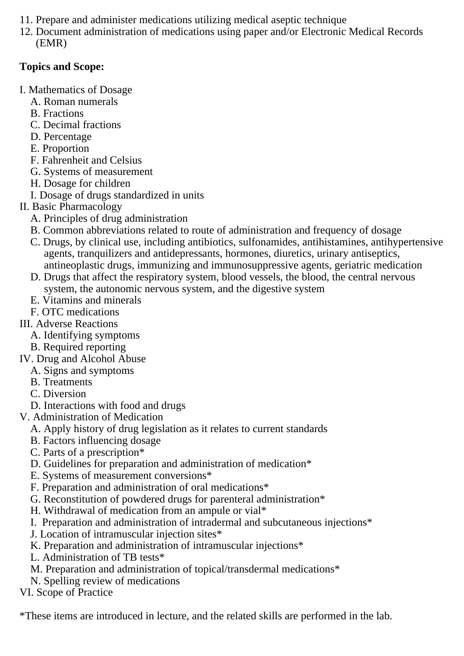- 11. Prepare and administer medications utilizing medical aseptic technique
- 12. Document administration of medications using paper and/or Electronic Medical Records (EMR)

### **Topics and Scope:**

- I. Mathematics of Dosage
	- A. Roman numerals
	- B. Fractions
	- C. Decimal fractions
	- D. Percentage
	- E. Proportion
	- F. Fahrenheit and Celsius
	- G. Systems of measurement
	- H. Dosage for children
	- I. Dosage of drugs standardized in units
- II. Basic Pharmacology
	- A. Principles of drug administration
	- B. Common abbreviations related to route of administration and frequency of dosage
	- C. Drugs, by clinical use, including antibiotics, sulfonamides, antihistamines, antihypertensive agents, tranquilizers and antidepressants, hormones, diuretics, urinary antiseptics, antineoplastic drugs, immunizing and immunosuppressive agents, geriatric medication
	- D. Drugs that affect the respiratory system, blood vessels, the blood, the central nervous system, the autonomic nervous system, and the digestive system
	- E. Vitamins and minerals
- F. OTC medications
- III. Adverse Reactions
	- A. Identifying symptoms
	- B. Required reporting
- IV. Drug and Alcohol Abuse
	- A. Signs and symptoms
	- B. Treatments
	- C. Diversion
	- D. Interactions with food and drugs
- V. Administration of Medication
	- A. Apply history of drug legislation as it relates to current standards
	- B. Factors influencing dosage
	- C. Parts of a prescription\*
	- D. Guidelines for preparation and administration of medication\*
	- E. Systems of measurement conversions\*
	- F. Preparation and administration of oral medications\*
	- G. Reconstitution of powdered drugs for parenteral administration\*
	- H. Withdrawal of medication from an ampule or vial\*
	- I. Preparation and administration of intradermal and subcutaneous injections\*
	- J. Location of intramuscular injection sites\*
	- K. Preparation and administration of intramuscular injections<sup>\*</sup>
	- L. Administration of TB tests\*
	- M. Preparation and administration of topical/transdermal medications\*
	- N. Spelling review of medications

VI. Scope of Practice

\*These items are introduced in lecture, and the related skills are performed in the lab.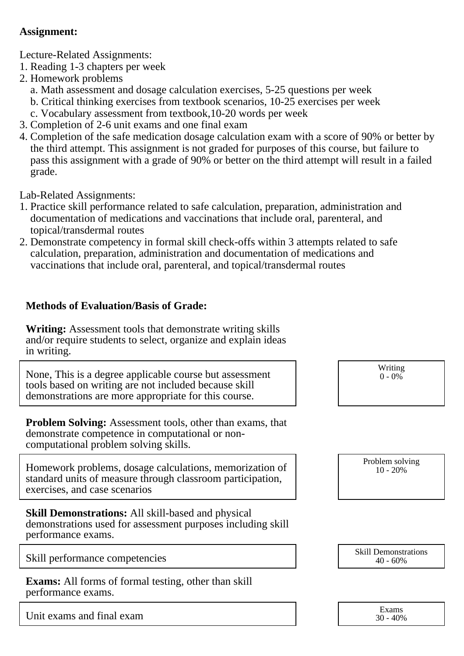#### **Assignment:**

Lecture-Related Assignments:

- 1. Reading 1-3 chapters per week
- 2. Homework problems
	- a. Math assessment and dosage calculation exercises, 5-25 questions per week
	- b. Critical thinking exercises from textbook scenarios, 10-25 exercises per week
	- c. Vocabulary assessment from textbook,10-20 words per week
- 3. Completion of 2-6 unit exams and one final exam
- 4. Completion of the safe medication dosage calculation exam with a score of 90% or better by the third attempt. This assignment is not graded for purposes of this course, but failure to pass this assignment with a grade of 90% or better on the third attempt will result in a failed grade.

Lab-Related Assignments:

- 1. Practice skill performance related to safe calculation, preparation, administration and documentation of medications and vaccinations that include oral, parenteral, and topical/transdermal routes
- 2. Demonstrate competency in formal skill check-offs within 3 attempts related to safe calculation, preparation, administration and documentation of medications and vaccinations that include oral, parenteral, and topical/transdermal routes

### **Methods of Evaluation/Basis of Grade:**

**Writing:** Assessment tools that demonstrate writing skills and/or require students to select, organize and explain ideas in writing.

None, This is a degree applicable course but assessment tools based on writing are not included because skill demonstrations are more appropriate for this course.

**Problem Solving:** Assessment tools, other than exams, that demonstrate competence in computational or noncomputational problem solving skills.

Homework problems, dosage calculations, memorization of standard units of measure through classroom participation, exercises, and case scenarios

**Skill Demonstrations:** All skill-based and physical demonstrations used for assessment purposes including skill performance exams.

Skill performance competencies <br>Skill Demonstrations<br> $\frac{1}{40-60\%}$ 

**Exams:** All forms of formal testing, other than skill performance exams.

Unit exams and final exam

Writing  $0 - 0\%$ 

Problem solving 10 - 20%

40 - 60%

| Exams |          |  |  |
|-------|----------|--|--|
|       | 30 - 40% |  |  |